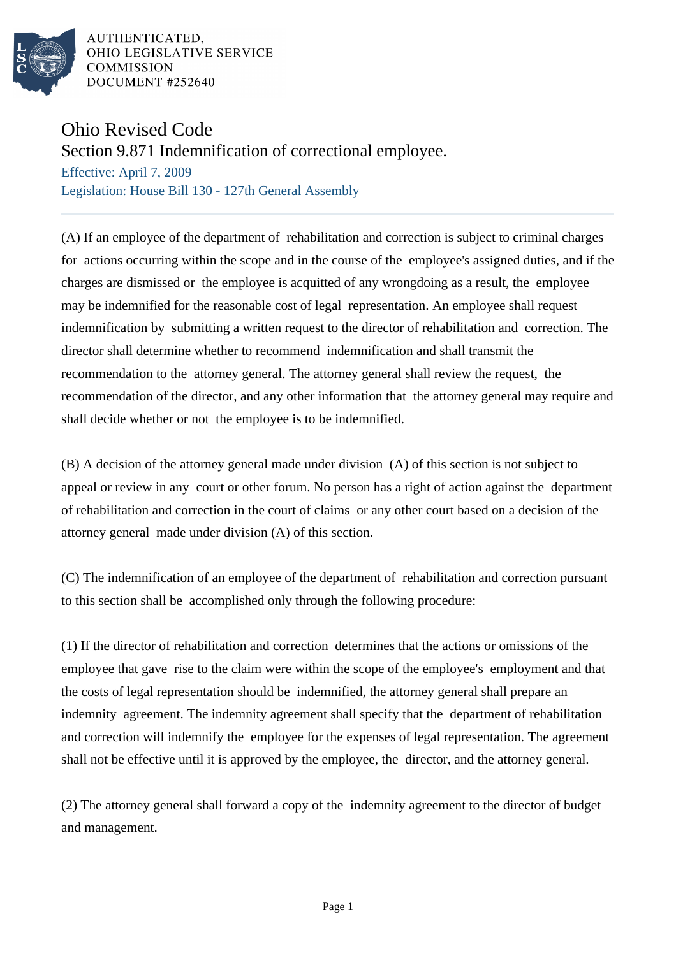

AUTHENTICATED. OHIO LEGISLATIVE SERVICE **COMMISSION** DOCUMENT #252640

## Ohio Revised Code

Section 9.871 Indemnification of correctional employee.

Effective: April 7, 2009 Legislation: House Bill 130 - 127th General Assembly

(A) If an employee of the department of rehabilitation and correction is subject to criminal charges for actions occurring within the scope and in the course of the employee's assigned duties, and if the charges are dismissed or the employee is acquitted of any wrongdoing as a result, the employee may be indemnified for the reasonable cost of legal representation. An employee shall request indemnification by submitting a written request to the director of rehabilitation and correction. The director shall determine whether to recommend indemnification and shall transmit the recommendation to the attorney general. The attorney general shall review the request, the recommendation of the director, and any other information that the attorney general may require and shall decide whether or not the employee is to be indemnified.

(B) A decision of the attorney general made under division (A) of this section is not subject to appeal or review in any court or other forum. No person has a right of action against the department of rehabilitation and correction in the court of claims or any other court based on a decision of the attorney general made under division (A) of this section.

(C) The indemnification of an employee of the department of rehabilitation and correction pursuant to this section shall be accomplished only through the following procedure:

(1) If the director of rehabilitation and correction determines that the actions or omissions of the employee that gave rise to the claim were within the scope of the employee's employment and that the costs of legal representation should be indemnified, the attorney general shall prepare an indemnity agreement. The indemnity agreement shall specify that the department of rehabilitation and correction will indemnify the employee for the expenses of legal representation. The agreement shall not be effective until it is approved by the employee, the director, and the attorney general.

(2) The attorney general shall forward a copy of the indemnity agreement to the director of budget and management.